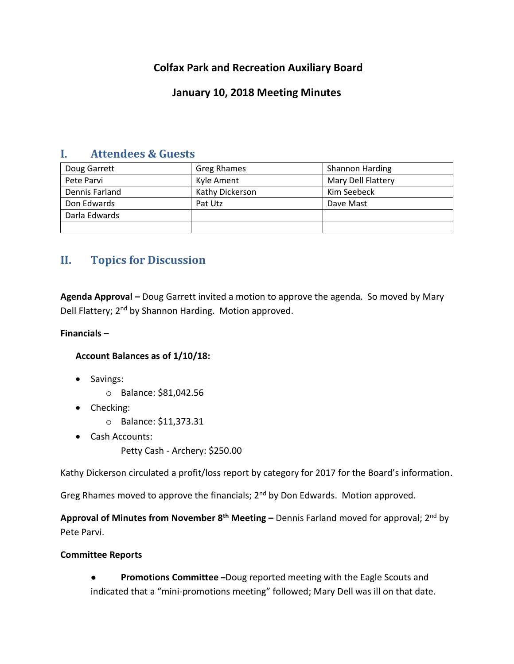# **Colfax Park and Recreation Auxiliary Board**

# **January 10, 2018 Meeting Minutes**

## **I. Attendees & Guests**

| Doug Garrett   | Greg Rhames     | <b>Shannon Harding</b> |
|----------------|-----------------|------------------------|
| Pete Parvi     | Kyle Ament      | Mary Dell Flattery     |
| Dennis Farland | Kathy Dickerson | Kim Seebeck            |
| Don Edwards    | Pat Utz         | Dave Mast              |
| Darla Edwards  |                 |                        |
|                |                 |                        |

# **II. Topics for Discussion**

**Agenda Approval –** Doug Garrett invited a motion to approve the agenda. So moved by Mary Dell Flattery; 2<sup>nd</sup> by Shannon Harding. Motion approved.

### **Financials –**

## **Account Balances as of 1/10/18:**

- Savings:
	- o Balance: \$81,042.56
- Checking:
	- o Balance: \$11,373.31
- Cash Accounts:
	- Petty Cash Archery: \$250.00

Kathy Dickerson circulated a profit/loss report by category for 2017 for the Board's information.

Greg Rhames moved to approve the financials;  $2^{nd}$  by Don Edwards. Motion approved.

**Approval of Minutes from November 8th Meeting –** Dennis Farland moved for approval; 2 nd by Pete Parvi.

### **Committee Reports**

● **Promotions Committee –**Doug reported meeting with the Eagle Scouts and indicated that a "mini-promotions meeting" followed; Mary Dell was ill on that date.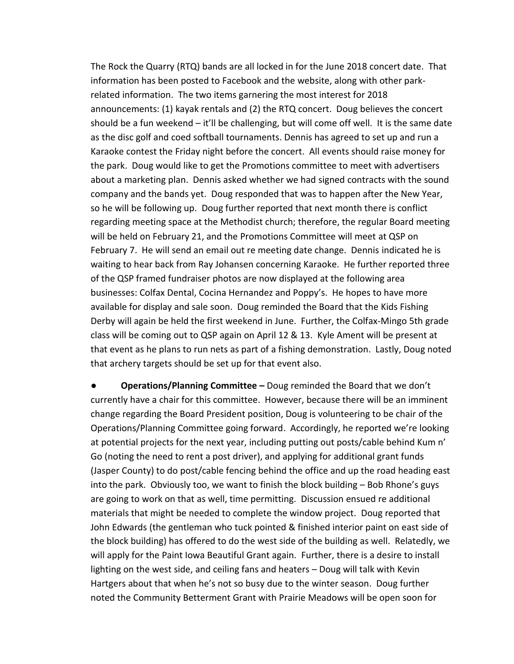The Rock the Quarry (RTQ) bands are all locked in for the June 2018 concert date. That information has been posted to Facebook and the website, along with other parkrelated information. The two items garnering the most interest for 2018 announcements: (1) kayak rentals and (2) the RTQ concert. Doug believes the concert should be a fun weekend – it'll be challenging, but will come off well. It is the same date as the disc golf and coed softball tournaments. Dennis has agreed to set up and run a Karaoke contest the Friday night before the concert. All events should raise money for the park. Doug would like to get the Promotions committee to meet with advertisers about a marketing plan. Dennis asked whether we had signed contracts with the sound company and the bands yet. Doug responded that was to happen after the New Year, so he will be following up. Doug further reported that next month there is conflict regarding meeting space at the Methodist church; therefore, the regular Board meeting will be held on February 21, and the Promotions Committee will meet at QSP on February 7. He will send an email out re meeting date change. Dennis indicated he is waiting to hear back from Ray Johansen concerning Karaoke. He further reported three of the QSP framed fundraiser photos are now displayed at the following area businesses: Colfax Dental, Cocina Hernandez and Poppy's. He hopes to have more available for display and sale soon. Doug reminded the Board that the Kids Fishing Derby will again be held the first weekend in June. Further, the Colfax-Mingo 5th grade class will be coming out to QSP again on April 12 & 13. Kyle Ament will be present at that event as he plans to run nets as part of a fishing demonstration. Lastly, Doug noted that archery targets should be set up for that event also.

**● Operations/Planning Committee –** Doug reminded the Board that we don't currently have a chair for this committee. However, because there will be an imminent change regarding the Board President position, Doug is volunteering to be chair of the Operations/Planning Committee going forward. Accordingly, he reported we're looking at potential projects for the next year, including putting out posts/cable behind Kum n' Go (noting the need to rent a post driver), and applying for additional grant funds (Jasper County) to do post/cable fencing behind the office and up the road heading east into the park. Obviously too, we want to finish the block building – Bob Rhone's guys are going to work on that as well, time permitting. Discussion ensued re additional materials that might be needed to complete the window project. Doug reported that John Edwards (the gentleman who tuck pointed & finished interior paint on east side of the block building) has offered to do the west side of the building as well. Relatedly, we will apply for the Paint Iowa Beautiful Grant again. Further, there is a desire to install lighting on the west side, and ceiling fans and heaters – Doug will talk with Kevin Hartgers about that when he's not so busy due to the winter season. Doug further noted the Community Betterment Grant with Prairie Meadows will be open soon for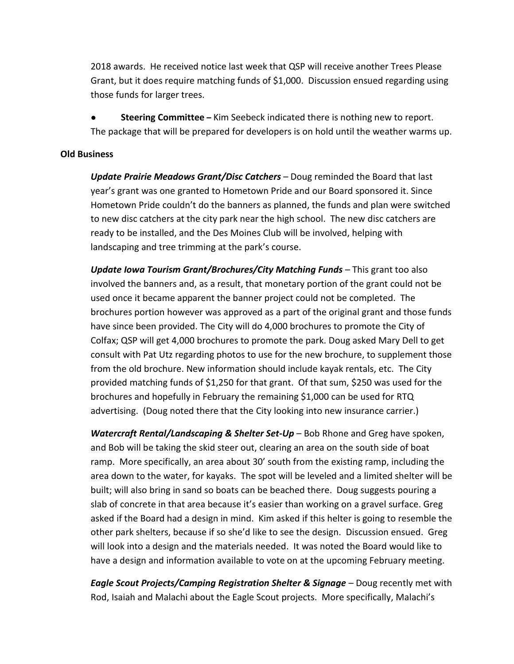2018 awards. He received notice last week that QSP will receive another Trees Please Grant, but it does require matching funds of \$1,000. Discussion ensued regarding using those funds for larger trees.

**Steering Committee** – Kim Seebeck indicated there is nothing new to report. The package that will be prepared for developers is on hold until the weather warms up.

### **Old Business**

*Update Prairie Meadows Grant/Disc Catchers* – Doug reminded the Board that last year's grant was one granted to Hometown Pride and our Board sponsored it. Since Hometown Pride couldn't do the banners as planned, the funds and plan were switched to new disc catchers at the city park near the high school. The new disc catchers are ready to be installed, and the Des Moines Club will be involved, helping with landscaping and tree trimming at the park's course.

*Update Iowa Tourism Grant/Brochures/City Matching Funds* – This grant too also involved the banners and, as a result, that monetary portion of the grant could not be used once it became apparent the banner project could not be completed. The brochures portion however was approved as a part of the original grant and those funds have since been provided. The City will do 4,000 brochures to promote the City of Colfax; QSP will get 4,000 brochures to promote the park. Doug asked Mary Dell to get consult with Pat Utz regarding photos to use for the new brochure, to supplement those from the old brochure. New information should include kayak rentals, etc. The City provided matching funds of \$1,250 for that grant. Of that sum, \$250 was used for the brochures and hopefully in February the remaining \$1,000 can be used for RTQ advertising. (Doug noted there that the City looking into new insurance carrier.)

*Watercraft Rental/Landscaping & Shelter Set-Up* – Bob Rhone and Greg have spoken, and Bob will be taking the skid steer out, clearing an area on the south side of boat ramp. More specifically, an area about 30' south from the existing ramp, including the area down to the water, for kayaks. The spot will be leveled and a limited shelter will be built; will also bring in sand so boats can be beached there. Doug suggests pouring a slab of concrete in that area because it's easier than working on a gravel surface. Greg asked if the Board had a design in mind. Kim asked if this helter is going to resemble the other park shelters, because if so she'd like to see the design. Discussion ensued. Greg will look into a design and the materials needed. It was noted the Board would like to have a design and information available to vote on at the upcoming February meeting.

*Eagle Scout Projects/Camping Registration Shelter & Signage* – Doug recently met with Rod, Isaiah and Malachi about the Eagle Scout projects. More specifically, Malachi's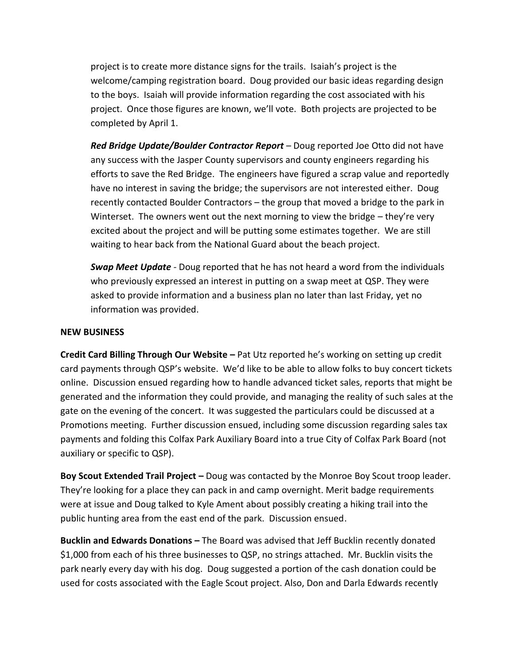project is to create more distance signs for the trails. Isaiah's project is the welcome/camping registration board. Doug provided our basic ideas regarding design to the boys. Isaiah will provide information regarding the cost associated with his project. Once those figures are known, we'll vote. Both projects are projected to be completed by April 1.

*Red Bridge Update/Boulder Contractor Report* – Doug reported Joe Otto did not have any success with the Jasper County supervisors and county engineers regarding his efforts to save the Red Bridge. The engineers have figured a scrap value and reportedly have no interest in saving the bridge; the supervisors are not interested either. Doug recently contacted Boulder Contractors – the group that moved a bridge to the park in Winterset. The owners went out the next morning to view the bridge – they're very excited about the project and will be putting some estimates together. We are still waiting to hear back from the National Guard about the beach project.

*Swap Meet Update* - Doug reported that he has not heard a word from the individuals who previously expressed an interest in putting on a swap meet at QSP. They were asked to provide information and a business plan no later than last Friday, yet no information was provided.

#### **NEW BUSINESS**

**Credit Card Billing Through Our Website –** Pat Utz reported he's working on setting up credit card payments through QSP's website. We'd like to be able to allow folks to buy concert tickets online. Discussion ensued regarding how to handle advanced ticket sales, reports that might be generated and the information they could provide, and managing the reality of such sales at the gate on the evening of the concert. It was suggested the particulars could be discussed at a Promotions meeting. Further discussion ensued, including some discussion regarding sales tax payments and folding this Colfax Park Auxiliary Board into a true City of Colfax Park Board (not auxiliary or specific to QSP).

**Boy Scout Extended Trail Project –** Doug was contacted by the Monroe Boy Scout troop leader. They're looking for a place they can pack in and camp overnight. Merit badge requirements were at issue and Doug talked to Kyle Ament about possibly creating a hiking trail into the public hunting area from the east end of the park. Discussion ensued.

**Bucklin and Edwards Donations –** The Board was advised that Jeff Bucklin recently donated \$1,000 from each of his three businesses to QSP, no strings attached. Mr. Bucklin visits the park nearly every day with his dog. Doug suggested a portion of the cash donation could be used for costs associated with the Eagle Scout project. Also, Don and Darla Edwards recently